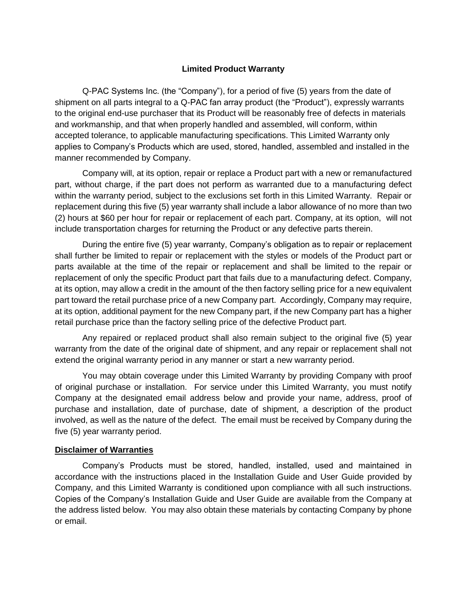## **Limited Product Warranty**

Q-PAC Systems Inc. (the "Company"), for a period of five (5) years from the date of shipment on all parts integral to a Q-PAC fan array product (the "Product"), expressly warrants to the original end-use purchaser that its Product will be reasonably free of defects in materials and workmanship, and that when properly handled and assembled, will conform, within accepted tolerance, to applicable manufacturing specifications. This Limited Warranty only applies to Company's Products which are used, stored, handled, assembled and installed in the manner recommended by Company.

Company will, at its option, repair or replace a Product part with a new or remanufactured part, without charge, if the part does not perform as warranted due to a manufacturing defect within the warranty period, subject to the exclusions set forth in this Limited Warranty. Repair or replacement during this five (5) year warranty shall include a labor allowance of no more than two (2) hours at \$60 per hour for repair or replacement of each part. Company, at its option, will not include transportation charges for returning the Product or any defective parts therein.

During the entire five (5) year warranty, Company's obligation as to repair or replacement shall further be limited to repair or replacement with the styles or models of the Product part or parts available at the time of the repair or replacement and shall be limited to the repair or replacement of only the specific Product part that fails due to a manufacturing defect. Company, at its option, may allow a credit in the amount of the then factory selling price for a new equivalent part toward the retail purchase price of a new Company part. Accordingly, Company may require, at its option, additional payment for the new Company part, if the new Company part has a higher retail purchase price than the factory selling price of the defective Product part.

Any repaired or replaced product shall also remain subject to the original five (5) year warranty from the date of the original date of shipment, and any repair or replacement shall not extend the original warranty period in any manner or start a new warranty period.

You may obtain coverage under this Limited Warranty by providing Company with proof of original purchase or installation. For service under this Limited Warranty, you must notify Company at the designated email address below and provide your name, address, proof of purchase and installation, date of purchase, date of shipment, a description of the product involved, as well as the nature of the defect. The email must be received by Company during the five (5) year warranty period.

## **Disclaimer of Warranties**

Company's Products must be stored, handled, installed, used and maintained in accordance with the instructions placed in the Installation Guide and User Guide provided by Company, and this Limited Warranty is conditioned upon compliance with all such instructions. Copies of the Company's Installation Guide and User Guide are available from the Company at the address listed below. You may also obtain these materials by contacting Company by phone or email.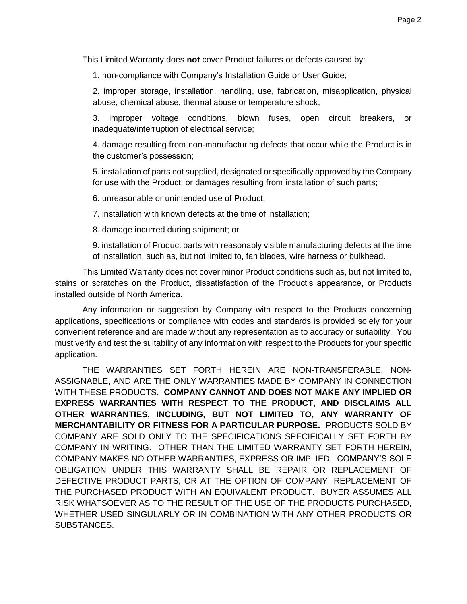This Limited Warranty does **not** cover Product failures or defects caused by:

1. non-compliance with Company's Installation Guide or User Guide;

2. improper storage, installation, handling, use, fabrication, misapplication, physical abuse, chemical abuse, thermal abuse or temperature shock;

3. improper voltage conditions, blown fuses, open circuit breakers, or inadequate/interruption of electrical service;

4. damage resulting from non-manufacturing defects that occur while the Product is in the customer's possession;

5. installation of parts not supplied, designated or specifically approved by the Company for use with the Product, or damages resulting from installation of such parts;

6. unreasonable or unintended use of Product;

7. installation with known defects at the time of installation;

8. damage incurred during shipment; or

9. installation of Product parts with reasonably visible manufacturing defects at the time of installation, such as, but not limited to, fan blades, wire harness or bulkhead.

This Limited Warranty does not cover minor Product conditions such as, but not limited to, stains or scratches on the Product, dissatisfaction of the Product's appearance, or Products installed outside of North America.

Any information or suggestion by Company with respect to the Products concerning applications, specifications or compliance with codes and standards is provided solely for your convenient reference and are made without any representation as to accuracy or suitability. You must verify and test the suitability of any information with respect to the Products for your specific application.

THE WARRANTIES SET FORTH HEREIN ARE NON-TRANSFERABLE, NON-ASSIGNABLE, AND ARE THE ONLY WARRANTIES MADE BY COMPANY IN CONNECTION WITH THESE PRODUCTS. **COMPANY CANNOT AND DOES NOT MAKE ANY IMPLIED OR EXPRESS WARRANTIES WITH RESPECT TO THE PRODUCT, AND DISCLAIMS ALL OTHER WARRANTIES, INCLUDING, BUT NOT LIMITED TO, ANY WARRANTY OF MERCHANTABILITY OR FITNESS FOR A PARTICULAR PURPOSE.** PRODUCTS SOLD BY COMPANY ARE SOLD ONLY TO THE SPECIFICATIONS SPECIFICALLY SET FORTH BY COMPANY IN WRITING. OTHER THAN THE LIMITED WARRANTY SET FORTH HEREIN, COMPANY MAKES NO OTHER WARRANTIES, EXPRESS OR IMPLIED. COMPANY'S SOLE OBLIGATION UNDER THIS WARRANTY SHALL BE REPAIR OR REPLACEMENT OF DEFECTIVE PRODUCT PARTS, OR AT THE OPTION OF COMPANY, REPLACEMENT OF THE PURCHASED PRODUCT WITH AN EQUIVALENT PRODUCT. BUYER ASSUMES ALL RISK WHATSOEVER AS TO THE RESULT OF THE USE OF THE PRODUCTS PURCHASED, WHETHER USED SINGULARLY OR IN COMBINATION WITH ANY OTHER PRODUCTS OR SUBSTANCES.